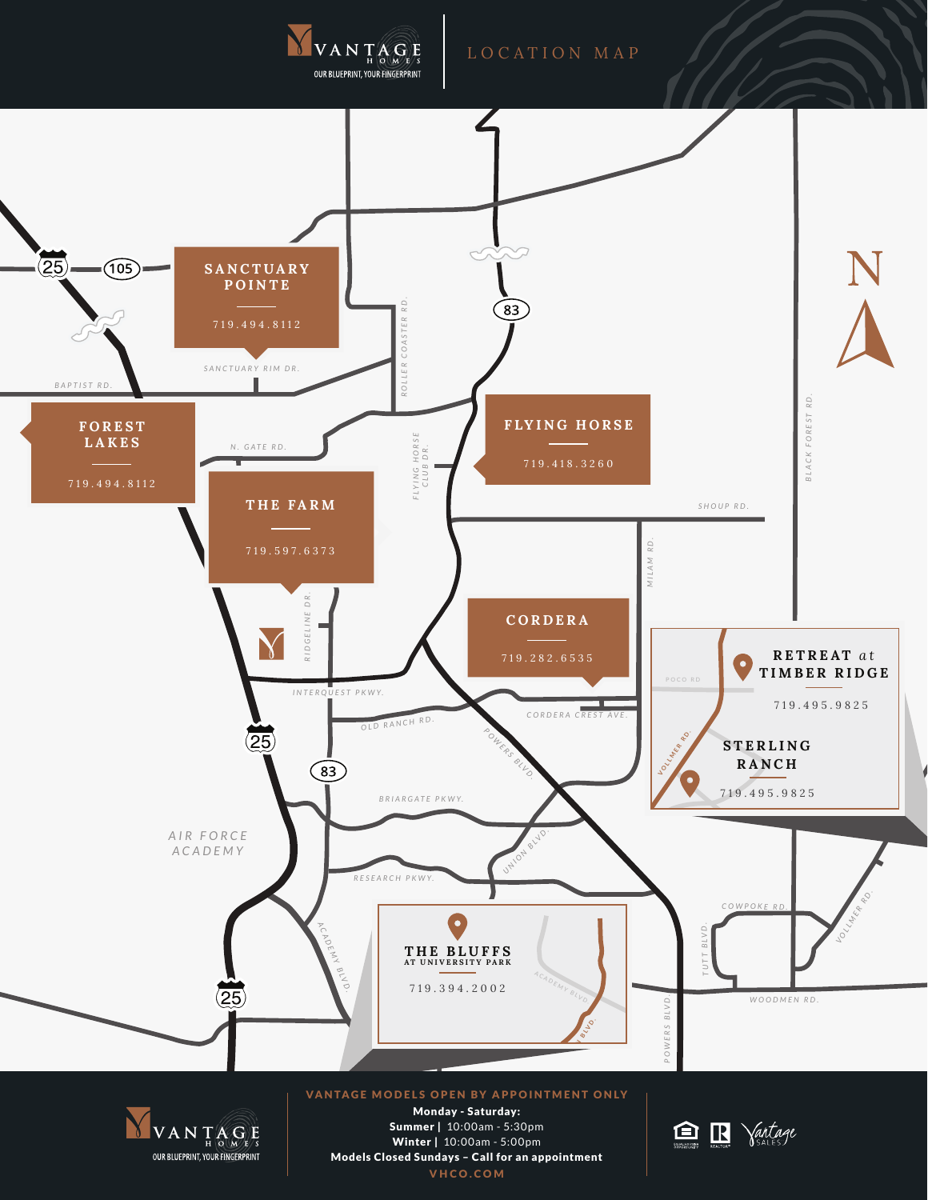

VHCO.COM